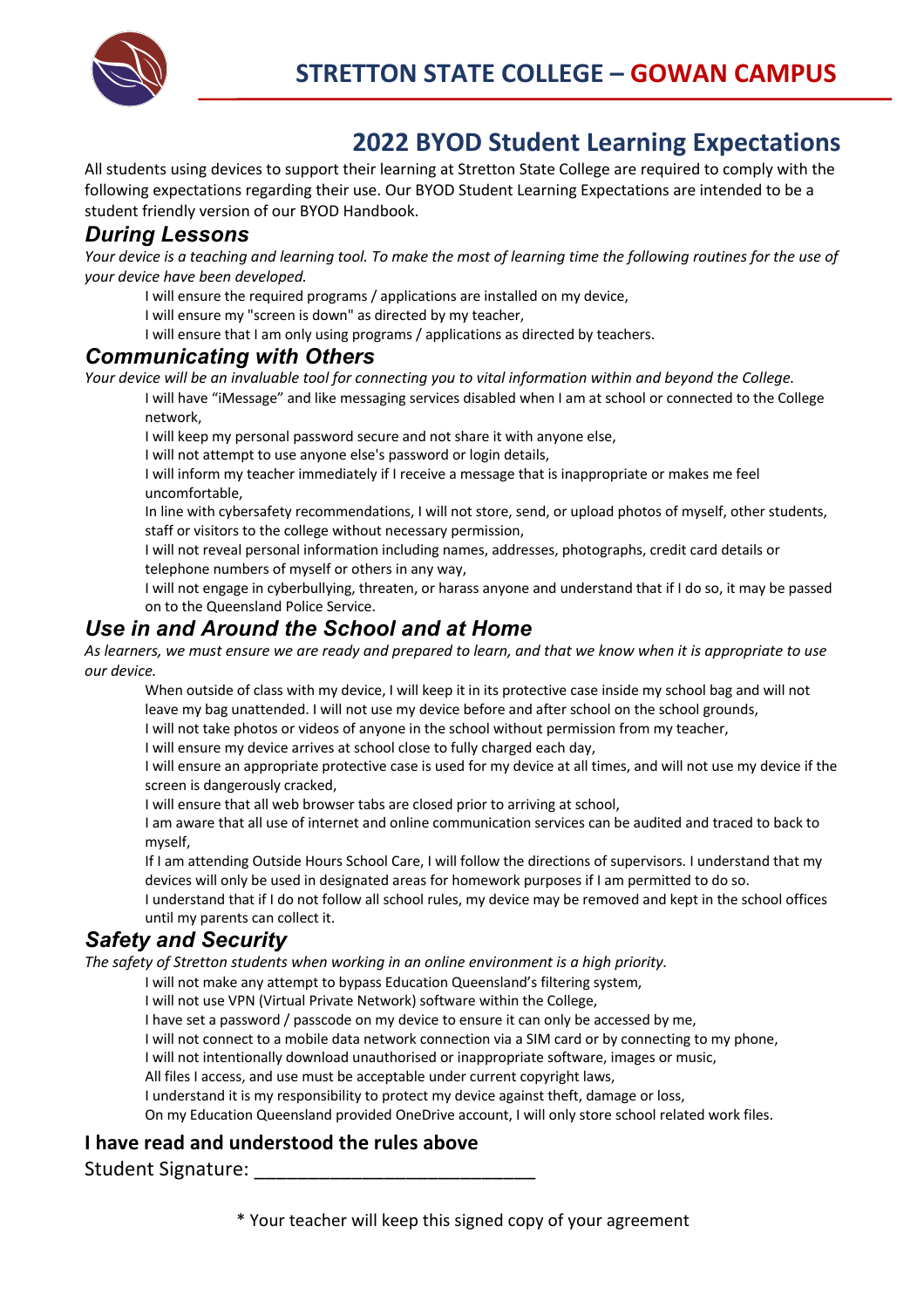

## **2022 BYOD Student Learning Expectations**

All students using devices to support their learning at Stretton State College are required to comply with the following expectations regarding their use. Our BYOD Student Learning Expectations are intended to be a student friendly version of our BYOD Handbook.

#### *During Lessons*

Your device is a teaching and learning tool. To make the most of learning time the following routines for the use of *your device have been developed.*

I will ensure the required programs / applications are installed on my device,

I will ensure my "screen is down" as directed by my teacher,

I will ensure that I am only using programs / applications as directed by teachers.

#### *Communicating with Others*

*Your device will be an invaluable tool for connecting you to vital information within and beyond the College.* 

 I will have "iMessage" and like messaging services disabled when I am at school or connected to the College network,

I will keep my personal password secure and not share it with anyone else,

I will not attempt to use anyone else's password or login details,

 I will inform my teacher immediately if I receive a message that is inappropriate or makes me feel uncomfortable,

 In line with cybersafety recommendations, I will not store, send, or upload photos of myself, other students, staff or visitors to the college without necessary permission,

 I will not reveal personal information including names, addresses, photographs, credit card details or telephone numbers of myself or others in any way,

 I will not engage in cyberbullying, threaten, or harass anyone and understand that if I do so, it may be passed on to the Queensland Police Service.

#### *Use in and Around the School and at Home*

*As learners, we must ensure we are ready and prepared to learn, and that we know when it is appropriate to use our device.*

 When outside of class with my device, I will keep it in its protective case inside my school bag and will not leave my bag unattended. I will not use my device before and after school on the school grounds, I will not take photos or videos of anyone in the school without permission from my teacher,

I will ensure my device arrives at school close to fully charged each day,

 I will ensure an appropriate protective case is used for my device at all times, and will not use my device if the screen is dangerously cracked,

I will ensure that all web browser tabs are closed prior to arriving at school,

 I am aware that all use of internet and online communication services can be audited and traced to back to myself,

 If I am attending Outside Hours School Care, I will follow the directions of supervisors. I understand that my devices will only be used in designated areas for homework purposes if I am permitted to do so.

 I understand that if I do not follow all school rules, my device may be removed and kept in the school offices until my parents can collect it.

### *Safety and Security*

*The safety of Stretton students when working in an online environment is a high priority.* 

I will not make any attempt to bypass Education Queensland's filtering system,

I will not use VPN (Virtual Private Network) software within the College,

I have set a password / passcode on my device to ensure it can only be accessed by me,

I will not connect to a mobile data network connection via a SIM card or by connecting to my phone,

I will not intentionally download unauthorised or inappropriate software, images or music,

All files I access, and use must be acceptable under current copyright laws,

I understand it is my responsibility to protect my device against theft, damage or loss,

On my Education Queensland provided OneDrive account, I will only store school related work files.

#### **I have read and understood the rules above**

Student Signature:

\* Your teacher will keep this signed copy of your agreement